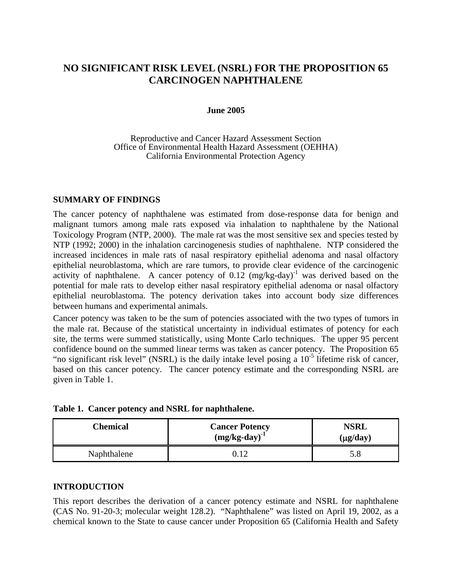# **NO SIGNIFICANT RISK LEVEL (NSRL) FOR THE PROPOSITION 65 CARCINOGEN NAPHTHALENE**

#### **June 2005**

#### Reproductive and Cancer Hazard Assessment Section Office of Environmental Health Hazard Assessment (OEHHA) California Environmental Protection Agency

#### **SUMMARY OF FINDINGS**

The cancer potency of naphthalene was estimated from dose-response data for benign and malignant tumors among male rats exposed via inhalation to naphthalene by the National Toxicology Program (NTP, 2000). The male rat was the most sensitive sex and species tested by NTP (1992; 2000) in the inhalation carcinogenesis studies of naphthalene. NTP considered the increased incidences in male rats of nasal respiratory epithelial adenoma and nasal olfactory epithelial neuroblastoma, which are rare tumors, to provide clear evidence of the carcinogenic activity of naphthalene. A cancer potency of  $0.12 \text{ (mg/kg-day)}^{-1}$  was derived based on the potential for male rats to develop either nasal respiratory epithelial adenoma or nasal olfactory epithelial neuroblastoma. The potency derivation takes into account body size differences between humans and experimental animals.

Cancer potency was taken to be the sum of potencies associated with the two types of tumors in the male rat. Because of the statistical uncertainty in individual estimates of potency for each site, the terms were summed statistically, using Monte Carlo techniques. The upper 95 percent confidence bound on the summed linear terms was taken as cancer potency. The Proposition 65 "no significant risk level" (NSRL) is the daily intake level posing a  $10^{-5}$  lifetime risk of cancer, based on this cancer potency. The cancer potency estimate and the corresponding NSRL are given in Table 1.

| Chemical    | <b>Cancer Potency</b><br>$(mg/kg-day)^{-1}$ | <b>NSRL</b><br>$(\mu$ g/day) |
|-------------|---------------------------------------------|------------------------------|
| Naphthalene |                                             |                              |

### **INTRODUCTION**

This report describes the derivation of a cancer potency estimate and NSRL for naphthalene (CAS No. 91-20-3; molecular weight 128.2). "Naphthalene" was listed on April 19, 2002, as a chemical known to the State to cause cancer under Proposition 65 (California Health and Safety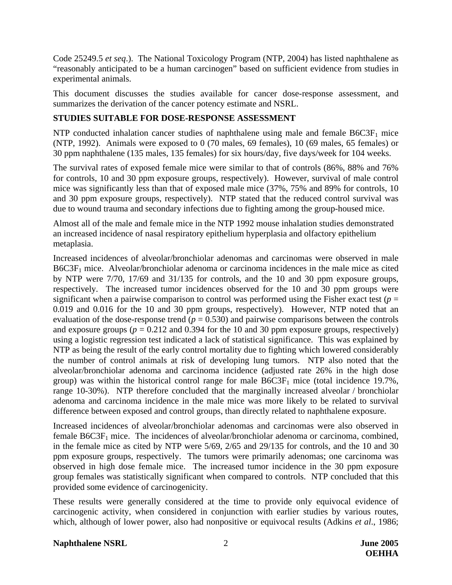Code 25249.5 *et seq*.). The National Toxicology Program (NTP, 2004) has listed naphthalene as "reasonably anticipated to be a human carcinogen" based on sufficient evidence from studies in experimental animals.

This document discusses the studies available for cancer dose-response assessment, and summarizes the derivation of the cancer potency estimate and NSRL.

## **STUDIES SUITABLE FOR DOSE-RESPONSE ASSESSMENT**

NTP conducted inhalation cancer studies of naphthalene using male and female  $B6C3F<sub>1</sub>$  mice (NTP, 1992). Animals were exposed to 0 (70 males, 69 females), 10 (69 males, 65 females) or 30 ppm naphthalene (135 males, 135 females) for six hours/day, five days/week for 104 weeks.

The survival rates of exposed female mice were similar to that of controls (86%, 88% and 76% for controls, 10 and 30 ppm exposure groups, respectively). However, survival of male control mice was significantly less than that of exposed male mice (37%, 75% and 89% for controls, 10 and 30 ppm exposure groups, respectively). NTP stated that the reduced control survival was due to wound trauma and secondary infections due to fighting among the group-housed mice.

Almost all of the male and female mice in the NTP 1992 mouse inhalation studies demonstrated an increased incidence of nasal respiratory epithelium hyperplasia and olfactory epithelium metaplasia.

Increased incidences of alveolar/bronchiolar adenomas and carcinomas were observed in male B6C3F1 mice. Alveolar/bronchiolar adenoma or carcinoma incidences in the male mice as cited by NTP were 7/70, 17/69 and 31/135 for controls, and the 10 and 30 ppm exposure groups, respectively. The increased tumor incidences observed for the 10 and 30 ppm groups were significant when a pairwise comparison to control was performed using the Fisher exact test ( $p =$ 0.019 and 0.016 for the 10 and 30 ppm groups, respectively). However, NTP noted that an evaluation of the dose-response trend  $(p = 0.530)$  and pairwise comparisons between the controls and exposure groups ( $p = 0.212$  and 0.394 for the 10 and 30 ppm exposure groups, respectively) using a logistic regression test indicated a lack of statistical significance. This was explained by NTP as being the result of the early control mortality due to fighting which lowered considerably the number of control animals at risk of developing lung tumors. NTP also noted that the alveolar/bronchiolar adenoma and carcinoma incidence (adjusted rate 26% in the high dose group) was within the historical control range for male  $B6C3F<sub>1</sub>$  mice (total incidence 19.7%, range 10-30%). NTP therefore concluded that the marginally increased alveolar / bronchiolar adenoma and carcinoma incidence in the male mice was more likely to be related to survival difference between exposed and control groups, than directly related to naphthalene exposure.

Increased incidences of alveolar/bronchiolar adenomas and carcinomas were also observed in female  $B6C3F<sub>1</sub>$  mice. The incidences of alveolar/bronchiolar adenoma or carcinoma, combined, in the female mice as cited by NTP were 5/69, 2/65 and 29/135 for controls, and the 10 and 30 ppm exposure groups, respectively. The tumors were primarily adenomas; one carcinoma was observed in high dose female mice. The increased tumor incidence in the 30 ppm exposure group females was statistically significant when compared to controls. NTP concluded that this provided some evidence of carcinogenicity.

These results were generally considered at the time to provide only equivocal evidence of carcinogenic activity, when considered in conjunction with earlier studies by various routes, which, although of lower power, also had nonpositive or equivocal results (Adkins *et al*., 1986;

### **Naphthalene NSRL** 2 **June 2005**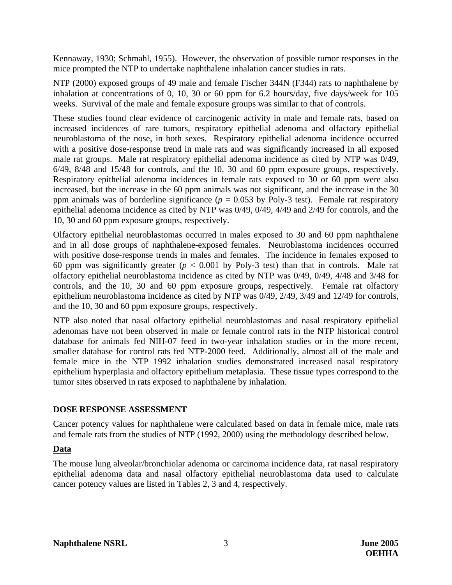Kennaway, 1930; Schmahl, 1955). However, the observation of possible tumor responses in the mice prompted the NTP to undertake naphthalene inhalation cancer studies in rats.

NTP (2000) exposed groups of 49 male and female Fischer 344N (F344) rats to naphthalene by inhalation at concentrations of 0, 10, 30 or 60 ppm for 6.2 hours/day, five days/week for 105 weeks. Survival of the male and female exposure groups was similar to that of controls.

These studies found clear evidence of carcinogenic activity in male and female rats, based on increased incidences of rare tumors, respiratory epithelial adenoma and olfactory epithelial neuroblastoma of the nose, in both sexes. Respiratory epithelial adenoma incidence occurred with a positive dose-response trend in male rats and was significantly increased in all exposed male rat groups. Male rat respiratory epithelial adenoma incidence as cited by NTP was 0/49, 6/49, 8/48 and 15/48 for controls, and the 10, 30 and 60 ppm exposure groups, respectively. Respiratory epithelial adenoma incidences in female rats exposed to 30 or 60 ppm were also increased, but the increase in the 60 ppm animals was not significant, and the increase in the 30 ppm animals was of borderline significance ( $p = 0.053$  by Poly-3 test). Female rat respiratory epithelial adenoma incidence as cited by NTP was 0/49, 0/49, 4/49 and 2/49 for controls, and the 10, 30 and 60 ppm exposure groups, respectively.

Olfactory epithelial neuroblastomas occurred in males exposed to 30 and 60 ppm naphthalene and in all dose groups of naphthalene-exposed females. Neuroblastoma incidences occurred with positive dose-response trends in males and females. The incidence in females exposed to 60 ppm was significantly greater  $(p < 0.001$  by Poly-3 test) than that in controls. Male rat olfactory epithelial neuroblastoma incidence as cited by NTP was 0/49, 0/49, 4/48 and 3/48 for controls, and the 10, 30 and 60 ppm exposure groups, respectively. Female rat olfactory epithelium neuroblastoma incidence as cited by NTP was 0/49, 2/49, 3/49 and 12/49 for controls, and the 10, 30 and 60 ppm exposure groups, respectively.

NTP also noted that nasal olfactory epithelial neuroblastomas and nasal respiratory epithelial adenomas have not been observed in male or female control rats in the NTP historical control database for animals fed NIH-07 feed in two-year inhalation studies or in the more recent, smaller database for control rats fed NTP-2000 feed. Additionally, almost all of the male and female mice in the NTP 1992 inhalation studies demonstrated increased nasal respiratory epithelium hyperplasia and olfactory epithelium metaplasia. These tissue types correspond to the tumor sites observed in rats exposed to naphthalene by inhalation.

### **DOSE RESPONSE ASSESSMENT**

Cancer potency values for naphthalene were calculated based on data in female mice, male rats and female rats from the studies of NTP (1992, 2000) using the methodology described below.

### **Data**

The mouse lung alveolar/bronchiolar adenoma or carcinoma incidence data, rat nasal respiratory epithelial adenoma data and nasal olfactory epithelial neuroblastoma data used to calculate cancer potency values are listed in Tables 2, 3 and 4, respectively.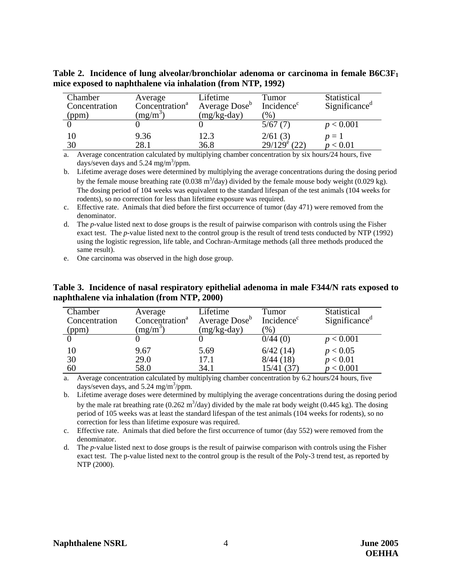| Chamber<br>Concentration<br>(ppm) | Average<br>Concentration <sup>a</sup><br>$mg/m^3$ | Lifetime<br>Average Dose <sup>b</sup><br>$(mg/kg-day)$ | Tumor<br>Incidence <sup>c</sup><br>$\left( \% \right)$ | Statistical<br>Significance <sup><i>d</i></sup> |
|-----------------------------------|---------------------------------------------------|--------------------------------------------------------|--------------------------------------------------------|-------------------------------------------------|
|                                   |                                                   |                                                        | 5/67(7)                                                | p < 0.001                                       |
| 10                                | 9.36                                              | 12.3                                                   | 2/61(3)                                                | $p=1$                                           |
| 30                                | 28.1                                              | 36.8                                                   | $29/129^{6}$ (22)                                      | ${}< 0.01$                                      |

**Table 2. Incidence of lung alveolar/bronchiolar adenoma or carcinoma in female B6C3F1 mice exposed to naphthalene via inhalation (from NTP, 1992)** 

days/seven days and  $5.24 \text{ mg/m}^3/\text{ppm}$ . a. Average concentration calculated by multiplying chamber concentration by six hours/24 hours, five

by the female mouse breathing rate (0.038  $\text{m}^3/\text{day}$ ) divided by the female mouse body weight (0.029 kg). The dosing period of 104 weeks was equivalent to the standard lifespan of the test animals (104 weeks for b. Lifetime average doses were determined by multiplying the average concentrations during the dosing period rodents), so no correction for less than lifetime exposure was required.

c. Effective rate. Animals that died before the first occurrence of tumor (day 471) were removed from the denominator.

- d. The *p*-value listed next to dose groups is the result of pairwise comparison with controls using the Fisher exact test. The *p*-value listed next to the control group is the result of trend tests conducted by NTP (1992) using the logistic regression, life table, and Cochran-Armitage methods (all three methods produced the same result).
- e. One carcinoma was observed in the high dose group.

**Table 3. Incidence of nasal respiratory epithelial adenoma in male F344/N rats exposed to naphthalene via inhalation (from NTP, 2000)** 

| Chamber<br>Concentration<br>(ppm) | Average<br>Concentration <sup>a</sup><br>$(mg/m^3)$ | Lifetime<br>Average Dose <sup>b</sup><br>$(mg/kg-day)$ | Tumor<br>Incidence <sup>c</sup><br>$(\%)$ | Statistical<br>Significance <sup>a</sup> |
|-----------------------------------|-----------------------------------------------------|--------------------------------------------------------|-------------------------------------------|------------------------------------------|
|                                   |                                                     |                                                        | 0/44(0)                                   | p < 0.001                                |
| 10                                | 9.67                                                | 5.69                                                   | 6/42(14)                                  | p < 0.05                                 |
| 30                                | 29.0                                                | 17.1                                                   | 8/44(18)                                  | p < 0.01                                 |
| 60                                | 58.0                                                | 34.1                                                   | 15/41 (37)                                | p < 0.001                                |

a. Average concentration calculated by multiplying chamber concentration by 6.2 hours/24 hours, five days/seven days, and  $5.24 \text{ mg/m}^3/\text{ppm}$ .

b. Lifetime average doses were determined by multiplying the average concentrations during the dosing period by the male rat breathing rate (0.262 m<sup>3</sup>/day) divided by the male rat body weight (0.445 kg). The dosing period of 105 weeks was at least the standard lifespan of the test animals (104 weeks for rodents), so no correction for less than lifetime exposure was required.

c. Effective rate. Animals that died before the first occurrence of tumor (day 552) were removed from the denominator.

 exact test. The p-value listed next to the control group is the result of the Poly-3 trend test, as reported by d. The *p*-value listed next to dose groups is the result of pairwise comparison with controls using the Fisher NTP (2000).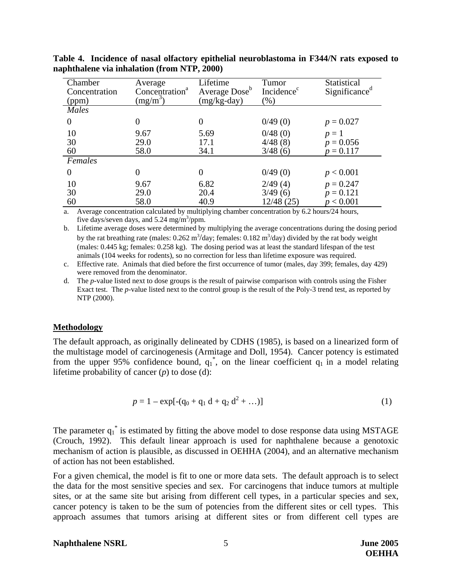| Chamber<br>Concentration<br>(ppm) | Average<br>Concentration <sup>a</sup><br>$(mg/m^3)$ | Lifetime<br>Average Dose <sup>b</sup><br>$(mg/kg-day)$ | Tumor<br>Incidence <sup>c</sup><br>$(\%)$ | Statistical<br>Significance <sup>d</sup> |
|-----------------------------------|-----------------------------------------------------|--------------------------------------------------------|-------------------------------------------|------------------------------------------|
| Males                             |                                                     |                                                        |                                           |                                          |
| $\overline{0}$                    |                                                     | $\theta$                                               | 0/49(0)                                   | $p = 0.027$                              |
| 10                                | 9.67                                                | 5.69                                                   | 0/48(0)                                   | $p=1$                                    |
| 30                                | 29.0                                                | 17.1                                                   | 4/48(8)                                   | $p = 0.056$                              |
| 60                                | 58.0                                                | 34.1                                                   | 3/48(6)                                   | $p = 0.117$                              |
| Females                           |                                                     |                                                        |                                           |                                          |
| $\theta$                          |                                                     | 0                                                      | 0/49(0)                                   | p < 0.001                                |
| 10                                | 9.67                                                | 6.82                                                   | 2/49(4)                                   | $p = 0.247$                              |
| 30                                | 29.0                                                | 20.4                                                   | 3/49(6)                                   | $p = 0.121$                              |
| 60                                | 58.0                                                | 40.9                                                   | 12/48 (25)                                | p < 0.001                                |

**Table 4. Incidence of nasal olfactory epithelial neuroblastoma in F344/N rats exposed to naphthalene via inhalation (from NTP, 2000)** 

a. Average concentration calculated by multiplying chamber concentration by 6.2 hours/24 hours, five days/seven days, and  $5.24 \text{ mg/m}^3/\text{ppm}$ .

by the rat breathing rate (males:  $0.262 \text{ m}^3/\text{day}$ ; females:  $0.182 \text{ m}^3/\text{day}$ ) divided by the rat body weight (males: 0.445 kg; females: 0.258 kg). The dosing period was at least the standard lifespan of the test b. Lifetime average doses were determined by multiplying the average concentrations during the dosing period animals (104 weeks for rodents), so no correction for less than lifetime exposure was required.

c. Effective rate. Animals that died before the first occurrence of tumor (males, day 399; females, day 429) were removed from the denominator.

 NTP (2000). d. The *p*-value listed next to dose groups is the result of pairwise comparison with controls using the Fisher Exact test. The *p*-value listed next to the control group is the result of the Poly-3 trend test, as reported by

### **Methodology**

The default approach, as originally delineated by CDHS (1985), is based on a linearized form of the multistage model of carcinogenesis (Armitage and Doll, 1954). Cancer potency is estimated from the upper 95% confidence bound,  $q_1^*$ , on the linear coefficient  $q_1$  in a model relating lifetime probability of cancer (*p*) to dose (d):

$$
p = 1 - \exp[-(q_0 + q_1 d + q_2 d^2 + ...) ]
$$
 (1)

The parameter  $q_1^*$  is estimated by fitting the above model to dose response data using MSTAGE (Crouch, 1992). This default linear approach is used for naphthalene because a genotoxic mechanism of action is plausible, as discussed in OEHHA (2004), and an alternative mechanism of action has not been established.

For a given chemical, the model is fit to one or more data sets. The default approach is to select the data for the most sensitive species and sex. For carcinogens that induce tumors at multiple sites, or at the same site but arising from different cell types, in a particular species and sex, cancer potency is taken to be the sum of potencies from the different sites or cell types. This approach assumes that tumors arising at different sites or from different cell types are

#### **Naphthalene NSRL** 5 **June 2005**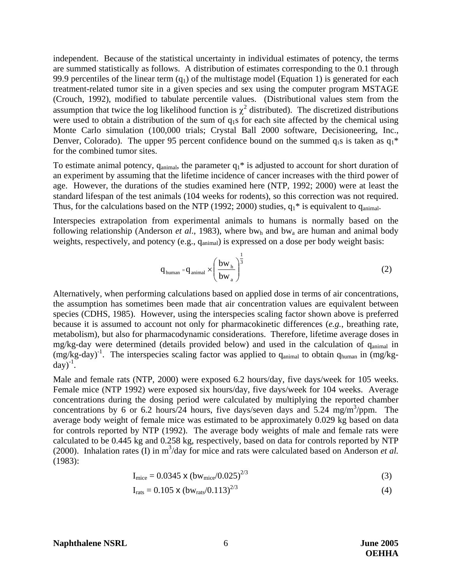independent. Because of the statistical uncertainty in individual estimates of potency, the terms are summed statistically as follows. A distribution of estimates corresponding to the 0.1 through 99.9 percentiles of the linear term  $(q_1)$  of the multistage model (Equation 1) is generated for each treatment-related tumor site in a given species and sex using the computer program MSTAGE (Crouch, 1992), modified to tabulate percentile values. (Distributional values stem from the assumption that twice the log likelihood function is  $\chi^2$  distributed). The discretized distributions were used to obtain a distribution of the sum of  $q_1s$  for each site affected by the chemical using Monte Carlo simulation (100,000 trials; Crystal Ball 2000 software, Decisioneering, Inc., Denver, Colorado). The upper 95 percent confidence bound on the summed  $q_1s$  is taken as  $q_1^*$ for the combined tumor sites.

To estimate animal potency,  $q_{\text{animal}}$ , the parameter  $q_1^*$  is adjusted to account for short duration of an experiment by assuming that the lifetime incidence of cancer increases with the third power of age. However, the durations of the studies examined here (NTP, 1992; 2000) were at least the standard lifespan of the test animals (104 weeks for rodents), so this correction was not required. Thus, for the calculations based on the NTP (1992; 2000) studies,  $q_1$ <sup>\*</sup> is equivalent to  $q_{\text{animal}}$ .

Interspecies extrapolation from experimental animals to humans is normally based on the following relationship (Anderson *et al.*, 1983), where bw<sub>h</sub> and bw<sub>a</sub> are human and animal body weights, respectively, and potency (e.g., q<sub>animal</sub>) is expressed on a dose per body weight basis:

$$
q_{\text{human}} = q_{\text{animal}} \times \left(\frac{bw_{h}}{bw_{a}}\right)^{\frac{1}{3}}
$$
 (2)

Alternatively, when performing calculations based on applied dose in terms of air concentrations, the assumption has sometimes been made that air concentration values are equivalent between species (CDHS, 1985). However, using the interspecies scaling factor shown above is preferred because it is assumed to account not only for pharmacokinetic differences (*e.g.*, breathing rate, metabolism), but also for pharmacodynamic considerations. Therefore, lifetime average doses in mg/kg-day were determined (details provided below) and used in the calculation of q<sub>animal</sub> in  $(mg/kg-day)^{-1}$ . The interspecies scaling factor was applied to  $q_{\text{animal}}$  to obtain  $q_{\text{human}}$  in  $(mg/kgq)$  $day)^{-1}$ .

Male and female rats (NTP, 2000) were exposed 6.2 hours/day, five days/week for 105 weeks. Female mice (NTP 1992) were exposed six hours/day, five days/week for 104 weeks. Average concentrations during the dosing period were calculated by multiplying the reported chamber concentrations by 6 or 6.2 hours/24 hours, five days/seven days and 5.24 mg/m<sup>3</sup>/ppm. The average body weight of female mice was estimated to be approximately 0.029 kg based on data for controls reported by NTP (1992). The average body weights of male and female rats were calculated to be 0.445 kg and 0.258 kg, respectively, based on data for controls reported by NTP (2000). Inhalation rates (I) in  $m^3$ /day for mice and rats were calculated based on Anderson *et al.* (1983):

$$
I_{\text{mice}} = 0.0345 \times (bw_{\text{mice}}/0.025)^{2/3}
$$
 (3)

$$
I_{\text{rats}} = 0.105 \times (bw_{\text{rats}}/0.113)^{2/3} \tag{4}
$$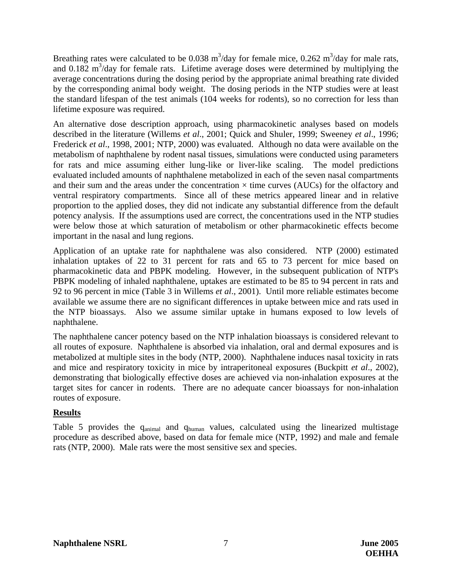Breathing rates were calculated to be 0.038  $m^3$ /day for female mice, 0.262  $m^3$ /day for male rats, and  $0.182 \text{ m}^3/\text{day}$  for female rats. Lifetime average doses were determined by multiplying the average concentrations during the dosing period by the appropriate animal breathing rate divided by the corresponding animal body weight. The dosing periods in the NTP studies were at least the standard lifespan of the test animals (104 weeks for rodents), so no correction for less than lifetime exposure was required.

An alternative dose description approach, using pharmacokinetic analyses based on models described in the literature (Willems *et al*., 2001; Quick and Shuler, 1999; Sweeney *et al*., 1996; Frederick *et al*., 1998, 2001; NTP, 2000) was evaluated. Although no data were available on the metabolism of naphthalene by rodent nasal tissues, simulations were conducted using parameters for rats and mice assuming either lung-like or liver-like scaling. The model predictions evaluated included amounts of naphthalene metabolized in each of the seven nasal compartments and their sum and the areas under the concentration  $\times$  time curves (AUCs) for the olfactory and ventral respiratory compartments. Since all of these metrics appeared linear and in relative proportion to the applied doses, they did not indicate any substantial difference from the default potency analysis. If the assumptions used are correct, the concentrations used in the NTP studies were below those at which saturation of metabolism or other pharmacokinetic effects become important in the nasal and lung regions.

Application of an uptake rate for naphthalene was also considered. NTP (2000) estimated inhalation uptakes of 22 to 31 percent for rats and 65 to 73 percent for mice based on pharmacokinetic data and PBPK modeling. However, in the subsequent publication of NTP's PBPK modeling of inhaled naphthalene, uptakes are estimated to be 85 to 94 percent in rats and 92 to 96 percent in mice (Table 3 in Willems *et al*., 2001). Until more reliable estimates become available we assume there are no significant differences in uptake between mice and rats used in the NTP bioassays. Also we assume similar uptake in humans exposed to low levels of naphthalene.

The naphthalene cancer potency based on the NTP inhalation bioassays is considered relevant to all routes of exposure. Naphthalene is absorbed via inhalation, oral and dermal exposures and is metabolized at multiple sites in the body (NTP, 2000). Naphthalene induces nasal toxicity in rats and mice and respiratory toxicity in mice by intraperitoneal exposures (Buckpitt *et al*., 2002), demonstrating that biologically effective doses are achieved via non-inhalation exposures at the target sites for cancer in rodents. There are no adequate cancer bioassays for non-inhalation routes of exposure.

# **Results**

Table 5 provides the q<sub>animal</sub> and q<sub>human</sub> values, calculated using the linearized multistage procedure as described above, based on data for female mice (NTP, 1992) and male and female rats (NTP, 2000). Male rats were the most sensitive sex and species.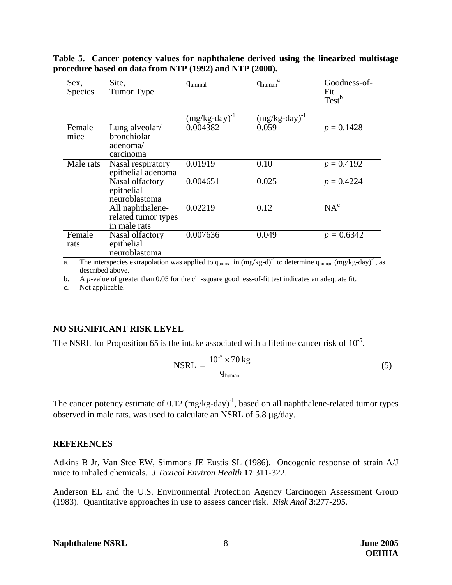| Sex,<br><b>Species</b> | Site,<br>Tumor Type                                     | <b>G</b> animal              | a<br>q <sub>human</sub> | Goodness-of-<br>Fit<br>Test <sup>b</sup> |
|------------------------|---------------------------------------------------------|------------------------------|-------------------------|------------------------------------------|
|                        |                                                         | $(mg/kg$ -day) <sup>-1</sup> | $(mg/kg$ -day $)^{-1}$  |                                          |
| Female<br>mice         | Lung alveolar/<br>bronchiolar<br>adenoma/<br>carcinoma  | 0.004382                     | 0.059                   | $p = 0.1428$                             |
| Male rats              | Nasal respiratory<br>epithelial adenoma                 | 0.01919                      | 0.10                    | $p = 0.4192$                             |
|                        | Nasal olfactory<br>epithelial<br>neuroblastoma          | 0.004651                     | 0.025                   | $p = 0.4224$                             |
|                        | All naphthalene-<br>related tumor types<br>in male rats | 0.02219                      | 0.12                    | NA <sup>c</sup>                          |
| Female<br>rats         | Nasal olfactory<br>epithelial<br>neuroblastoma          | 0.007636                     | 0.049                   | $p = 0.6342$                             |

**Table 5. Cancer potency values for naphthalene derived using the linearized multistage procedure based on data from NTP (1992) and NTP (2000).** 

a. The interspecies extrapolation was applied to  $q_{\text{animal}}$  in  $(mg/kg-d)^{-1}$  to determine  $q_{\text{human}} (mg/kg-day)^{-1}$ , as described above.

b. A *p*-value of greater than 0.05 for the chi-square goodness-of-fit test indicates an adequate fit.

c. Not applicable.

### **NO SIGNIFICANT RISK LEVEL**

The NSRL for Proposition 65 is the intake associated with a lifetime cancer risk of  $10^{-5}$ .

$$
NSRL = \frac{10^{-5} \times 70 \text{ kg}}{q_{\text{human}}}
$$
 (5)

The cancer potency estimate of  $0.12 \text{ (mg/kg-day)}^{-1}$ , based on all naphthalene-related tumor types observed in male rats, was used to calculate an NSRL of 5.8 µg/day.

#### **REFERENCES**

Adkins B Jr, Van Stee EW, Simmons JE Eustis SL (1986). Oncogenic response of strain A/J mice to inhaled chemicals. *J Toxicol Environ Health* **17**:311-322.

Anderson EL and the U.S. Environmental Protection Agency Carcinogen Assessment Group (1983). Quantitative approaches in use to assess cancer risk. *Risk Anal* **3**:277-295.

#### **Naphthalene NSRL** 8 **June 2005**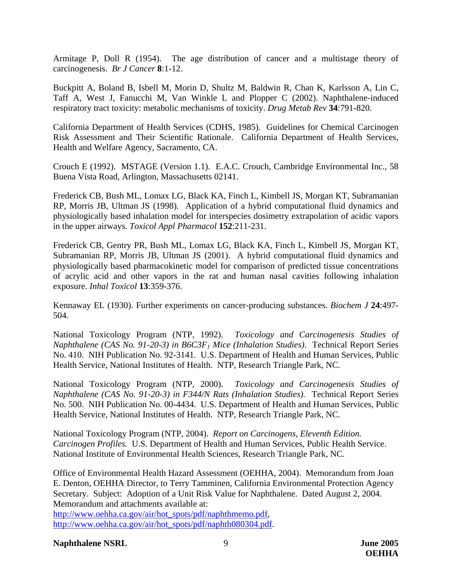Armitage P, Doll R (1954). The age distribution of cancer and a multistage theory of carcinogenesis. *Br J Cancer* **8**:1-12.

Buckpitt A, Boland B, Isbell M, Morin D, Shultz M, Baldwin R, Chan K, Karlsson A, Lin C, Taff A, West J, Fanucchi M, Van Winkle L and Plopper C (2002). Naphthalene-induced respiratory tract toxicity: metabolic mechanisms of toxicity. *Drug Metab Rev* **34**:791-820.

California Department of Health Services (CDHS, 1985). Guidelines for Chemical Carcinogen Risk Assessment and Their Scientific Rationale. California Department of Health Services, Health and Welfare Agency, Sacramento, CA.

Crouch E (1992). MSTAGE (Version 1.1). E.A.C. Crouch, Cambridge Environmental Inc., 58 Buena Vista Road, Arlington, Massachusetts 02141.

Frederick CB, Bush ML, Lomax LG, Black KA, Finch L, Kimbell JS, Morgan KT, Subramanian RP, Morris JB, Ultman JS (1998). Application of a hybrid computational fluid dynamics and physiologically based inhalation model for interspecies dosimetry extrapolation of acidic vapors in the upper airways. *Toxicol Appl Pharmacol* **152**:211-231.

Frederick CB, Gentry PR, Bush ML, Lomax LG, Black KA, Finch L, Kimbell JS, Morgan KT, Subramanian RP, Morris JB, Ultman JS (2001). A hybrid computational fluid dynamics and physiologically based pharmacokinetic model for comparison of predicted tissue concentrations of acrylic acid and other vapors in the rat and human nasal cavities following inhalation exposure. *Inhal Toxicol* **13**:359-376.

Kennaway EL (1930). Further experiments on cancer-producing substances. *Biochem J* **24**:497 504.

National Toxicology Program (NTP, 1992). *Toxicology and Carcinogenesis Studies of Naphthalene (CAS No. 91-20-3) in B6C3F1 Mice (Inhalation Studies)*. Technical Report Series No. 410. NIH Publication No. 92-3141. U.S. Department of Health and Human Services, Public Health Service, National Institutes of Health. NTP, Research Triangle Park, NC.

National Toxicology Program (NTP, 2000). *Toxicology and Carcinogenesis Studies of Naphthalene (CAS No. 91-20-3) in F344/N Rats (Inhalation Studies).* Technical Report Series No. 500. NIH Publication No. 00-4434. U.S. Department of Health and Human Services, Public Health Service, National Institutes of Health. NTP, Research Triangle Park, NC.

National Toxicology Program (NTP, 2004). *Report on Carcinogens, Eleventh Edition. Carcinogen Profiles.* U.S. Department of Health and Human Services, Public Health Service. National Institute of Environmental Health Sciences, Research Triangle Park, NC.

Office of Environmental Health Hazard Assessment (OEHHA, 2004). Memorandum from Joan E. Denton, OEHHA Director, to Terry Tamminen, California Environmental Protection Agency Secretary. Subject: Adoption of a Unit Risk Value for Naphthalene. Dated August 2, 2004. Memorandum and attachments available at:

http://www.oehha.ca.gov/air/hot\_spots/pdf/naphthmemo.pdf, http://www.oehha.ca.gov/air/hot\_spots/pdf/naphth080304.pdf.

### **Naphthalene NSRL** 9 **June 2005**